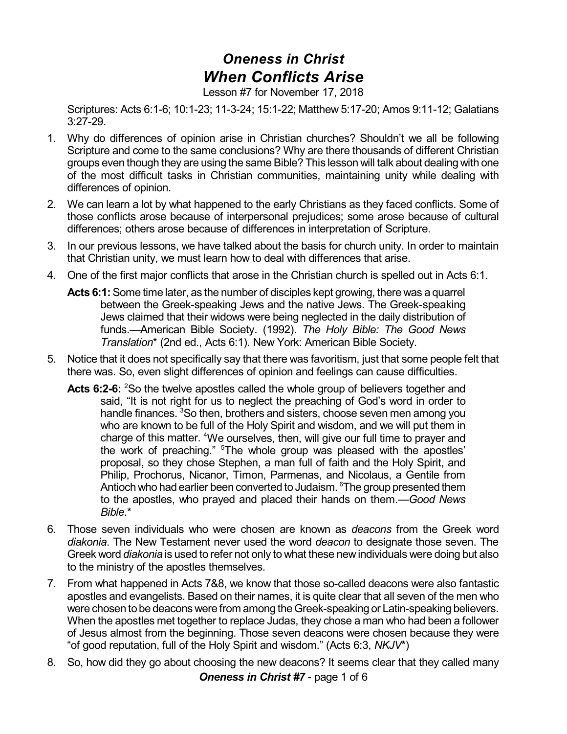## *Oneness in Christ When Conflicts Arise*

Lesson #7 for November 17, 2018

Scriptures: Acts 6:1-6; 10:1-23; 11-3-24; 15:1-22; Matthew 5:17-20; Amos 9:11-12; Galatians 3:27-29.

- 1. Why do differences of opinion arise in Christian churches? Shouldn't we all be following Scripture and come to the same conclusions? Why are there thousands of different Christian groups even though they are using the same Bible? This lesson will talk about dealing with one of the most difficult tasks in Christian communities, maintaining unity while dealing with differences of opinion.
- 2. We can learn a lot by what happened to the early Christians as they faced conflicts. Some of those conflicts arose because of interpersonal prejudices; some arose because of cultural differences; others arose because of differences in interpretation of Scripture.
- 3. In our previous lessons, we have talked about the basis for church unity. In order to maintain that Christian unity, we must learn how to deal with differences that arise.
- 4. One of the first major conflicts that arose in the Christian church is spelled out in Acts 6:1.
	- **Acts 6:1:**Some time later, as the number of disciples kept growing, there was a quarrel between the Greek-speaking Jews and the native Jews. The Greek-speaking Jews claimed that their widows were being neglected in the daily distribution of funds.—American Bible Society. (1992). *The Holy Bible: The Good News Translation*\* (2nd ed., Acts 6:1). New York: American Bible Society.
- 5. Notice that it does not specifically say that there was favoritism, just that some people felt that there was. So, even slight differences of opinion and feelings can cause difficulties.
	- **Acts 6:2-6:** <sup>2</sup>So the twelve apostles called the whole group of believers together and said, "It is not right for us to neglect the preaching of God's word in order to handle finances. <sup>3</sup>So then, brothers and sisters, choose seven men among you who are known to be full of the Holy Spirit and wisdom, and we will put them in charge of this matter. <sup>4</sup>We ourselves, then, will give our full time to prayer and the work of preaching." <sup>5</sup>The whole group was pleased with the apostles' proposal, so they chose Stephen, a man full of faith and the Holy Spirit, and Philip, Prochorus, Nicanor, Timon, Parmenas, and Nicolaus, a Gentile from Antioch who had earlier been converted to Judaism. <sup>6</sup>The group presented them to the apostles, who prayed and placed their hands on them.—*Good News Bible*.\*
- 6. Those seven individuals who were chosen are known as *deacons* from the Greek word *diakonia*. The New Testament never used the word *deacon* to designate those seven. The Greek word *diakonia* is used to refer not only to what these new individuals were doing but also to the ministry of the apostles themselves.
- 7. From what happened in Acts 7&8, we know that those so-called deacons were also fantastic apostles and evangelists. Based on their names, it is quite clear that all seven of the men who were chosen to be deacons were from among the Greek-speaking or Latin-speaking believers. When the apostles met together to replace Judas, they chose a man who had been a follower of Jesus almost from the beginning. Those seven deacons were chosen because they were "of good reputation, full of the Holy Spirit and wisdom." (Acts 6:3, *NKJV*\*)
- 8. So, how did they go about choosing the new deacons? It seems clear that they called many *Oneness in Christ #7* - page 1 of 6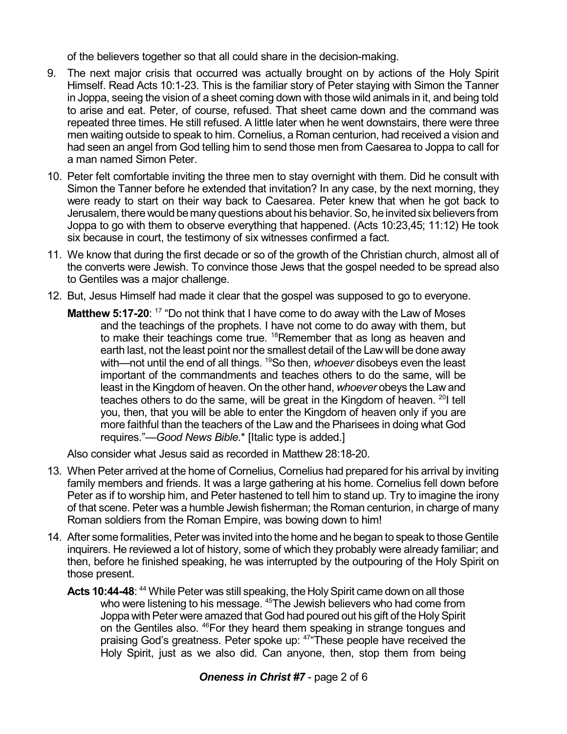of the believers together so that all could share in the decision-making.

- 9. The next major crisis that occurred was actually brought on by actions of the Holy Spirit Himself. Read Acts 10:1-23. This is the familiar story of Peter staying with Simon the Tanner in Joppa, seeing the vision of a sheet coming down with those wild animals in it, and being told to arise and eat. Peter, of course, refused. That sheet came down and the command was repeated three times. He still refused. A little later when he went downstairs, there were three men waiting outside to speak to him. Cornelius, a Roman centurion, had received a vision and had seen an angel from God telling him to send those men from Caesarea to Joppa to call for a man named Simon Peter.
- 10. Peter felt comfortable inviting the three men to stay overnight with them. Did he consult with Simon the Tanner before he extended that invitation? In any case, by the next morning, they were ready to start on their way back to Caesarea. Peter knew that when he got back to Jerusalem, there would be many questions about his behavior. So, he invited six believers from Joppa to go with them to observe everything that happened. (Acts 10:23,45; 11:12) He took six because in court, the testimony of six witnesses confirmed a fact.
- 11. We know that during the first decade or so of the growth of the Christian church, almost all of the converts were Jewish. To convince those Jews that the gospel needed to be spread also to Gentiles was a major challenge.
- 12. But, Jesus Himself had made it clear that the gospel was supposed to go to everyone.
	- **Matthew 5:17-20**: <sup>17</sup> "Do not think that I have come to do away with the Law of Moses and the teachings of the prophets. I have not come to do away with them, but to make their teachings come true. <sup>18</sup>Remember that as long as heaven and earth last, not the least point nor the smallest detail of the Lawwill be done away with—not until the end of all things. <sup>19</sup>So then, *whoever* disobeys even the least important of the commandments and teaches others to do the same, will be least in the Kingdom of heaven. On the other hand, *whoever* obeys the Law and teaches others to do the same, will be great in the Kingdom of heaven. <sup>20</sup>I tell you, then, that you will be able to enter the Kingdom of heaven only if you are more faithful than the teachers of the Law and the Pharisees in doing what God requires."—*Good News Bible*.\* [Italic type is added.]

Also consider what Jesus said as recorded in Matthew 28:18-20.

- 13. When Peter arrived at the home of Cornelius, Cornelius had prepared for his arrival by inviting family members and friends. It was a large gathering at his home. Cornelius fell down before Peter as if to worship him, and Peter hastened to tell him to stand up. Try to imagine the irony of that scene. Peter was a humble Jewish fisherman; the Roman centurion, in charge of many Roman soldiers from the Roman Empire, was bowing down to him!
- 14. After some formalities, Peter was invited into the home and he began to speak to those Gentile inquirers. He reviewed a lot of history, some of which they probably were already familiar; and then, before he finished speaking, he was interrupted by the outpouring of the Holy Spirit on those present.
	- Acts 10:44-48: <sup>44</sup> While Peter was still speaking, the Holy Spirit came down on all those who were listening to his message. <sup>45</sup>The Jewish believers who had come from Joppa with Peter were amazed that God had poured out his gift of the Holy Spirit on the Gentiles also. <sup>46</sup>For they heard them speaking in strange tongues and praising God's greatness. Peter spoke up: <sup>47</sup> These people have received the Holy Spirit, just as we also did. Can anyone, then, stop them from being

## *Oneness in Christ #7* - page 2 of 6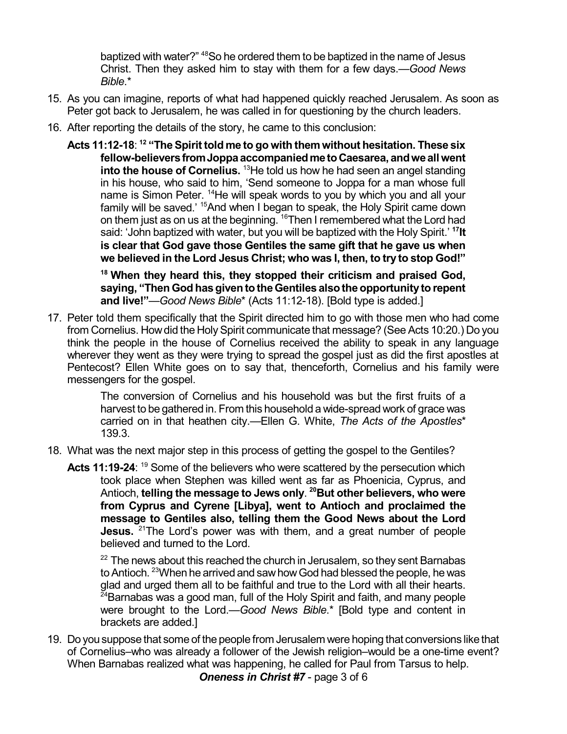baptized with water?" <sup>48</sup>So he ordered them to be baptized in the name of Jesus Christ. Then they asked him to stay with them for a few days.—*Good News Bible*.\*

- 15. As you can imagine, reports of what had happened quickly reached Jerusalem. As soon as Peter got back to Jerusalem, he was called in for questioning by the church leaders.
- 16. After reporting the details of the story, he came to this conclusion:
	- **Acts 11:12-18**: **12 "TheSpirit told me to go with them without hesitation. These six fellow-believersfromJoppaaccompaniedmetoCaesarea, andweallwent into the house of Cornelius.** <sup>13</sup>He told us how he had seen an angel standing in his house, who said to him, 'Send someone to Joppa for a man whose full name is Simon Peter. <sup>14</sup>He will speak words to you by which you and all your family will be saved.' <sup>15</sup>And when I began to speak, the Holy Spirit came down on them just as on us at the beginning. <sup>16</sup>Then I remembered what the Lord had said: 'John baptized with water, but you will be baptized with the Holy Spirit.' **<sup>17</sup>It is clear that God gave those Gentiles the same gift that he gave us when we believed in the Lord Jesus Christ; who was I, then, to try to stop God!"**

**<sup>18</sup> When they heard this, they stopped their criticism and praised God, saying, "Then God has given to the Gentiles also the opportunity to repent and live!"**—*Good News Bible*\* (Acts 11:12-18). [Bold type is added.]

17. Peter told them specifically that the Spirit directed him to go with those men who had come from Cornelius. How did the Holy Spirit communicate that message? (See Acts 10:20.) Do you think the people in the house of Cornelius received the ability to speak in any language wherever they went as they were trying to spread the gospel just as did the first apostles at Pentecost? Ellen White goes on to say that, thenceforth, Cornelius and his family were messengers for the gospel.

> The conversion of Cornelius and his household was but the first fruits of a harvest to be gathered in. From this household a wide-spread work of grace was carried on in that heathen city.—Ellen G. White, *The Acts of the Apostles*\* 139.3.

- 18. What was the next major step in this process of getting the gospel to the Gentiles?
	- Acts 11:19-24: <sup>19</sup> Some of the believers who were scattered by the persecution which took place when Stephen was killed went as far as Phoenicia, Cyprus, and Antioch, **telling the message to Jews only**. **<sup>20</sup>But other believers, who were from Cyprus and Cyrene [Libya], went to Antioch and proclaimed the message to Gentiles also, telling them the Good News about the Lord Jesus.** <sup>21</sup>The Lord's power was with them, and a great number of people believed and turned to the Lord.

 $22$  The news about this reached the church in Jerusalem, so they sent Barnabas to Antioch.  $^{23}\!$ When he arrived and saw how God had blessed the people, he was glad and urged them all to be faithful and true to the Lord with all their hearts.  $24$ Barnabas was a good man, full of the Holy Spirit and faith, and many people were brought to the Lord.—*Good News Bible*.\* [Bold type and content in brackets are added.]

19. Do you suppose that some of the people from Jerusalem were hoping that conversions like that of Cornelius–who was already a follower of the Jewish religion–would be a one-time event? When Barnabas realized what was happening, he called for Paul from Tarsus to help.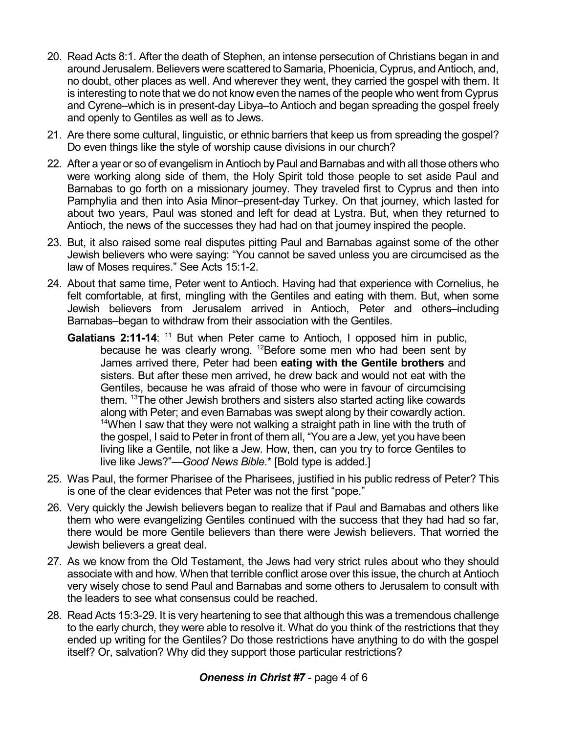- 20. Read Acts 8:1. After the death of Stephen, an intense persecution of Christians began in and around Jerusalem. Believers were scattered to Samaria, Phoenicia, Cyprus, and Antioch, and, no doubt, other places as well. And wherever they went, they carried the gospel with them. It is interesting to note that we do not know even the names of the people who went from Cyprus and Cyrene–which is in present-day Libya–to Antioch and began spreading the gospel freely and openly to Gentiles as well as to Jews.
- 21. Are there some cultural, linguistic, or ethnic barriers that keep us from spreading the gospel? Do even things like the style of worship cause divisions in our church?
- 22. After a year or so of evangelism in Antioch by Paul and Barnabas and with all those others who were working along side of them, the Holy Spirit told those people to set aside Paul and Barnabas to go forth on a missionary journey. They traveled first to Cyprus and then into Pamphylia and then into Asia Minor–present-day Turkey. On that journey, which lasted for about two years, Paul was stoned and left for dead at Lystra. But, when they returned to Antioch, the news of the successes they had had on that journey inspired the people.
- 23. But, it also raised some real disputes pitting Paul and Barnabas against some of the other Jewish believers who were saying: "You cannot be saved unless you are circumcised as the law of Moses requires." See Acts 15:1-2.
- 24. About that same time, Peter went to Antioch. Having had that experience with Cornelius, he felt comfortable, at first, mingling with the Gentiles and eating with them. But, when some Jewish believers from Jerusalem arrived in Antioch, Peter and others–including Barnabas–began to withdraw from their association with the Gentiles.
	- Galatians 2:11-14: <sup>11</sup> But when Peter came to Antioch, I opposed him in public, because he was clearly wrong. <sup>12</sup>Before some men who had been sent by James arrived there, Peter had been **eating with the Gentile brothers** and sisters. But after these men arrived, he drew back and would not eat with the Gentiles, because he was afraid of those who were in favour of circumcising them. <sup>13</sup>The other Jewish brothers and sisters also started acting like cowards along with Peter; and even Barnabas was swept along by their cowardly action.  $14$ When I saw that they were not walking a straight path in line with the truth of the gospel, I said to Peter in front of them all, "You are a Jew, yet you have been living like a Gentile, not like a Jew. How, then, can you try to force Gentiles to live like Jews?"—*Good News Bible*.\* [Bold type is added.]
- 25. Was Paul, the former Pharisee of the Pharisees, justified in his public redress of Peter? This is one of the clear evidences that Peter was not the first "pope."
- 26. Very quickly the Jewish believers began to realize that if Paul and Barnabas and others like them who were evangelizing Gentiles continued with the success that they had had so far, there would be more Gentile believers than there were Jewish believers. That worried the Jewish believers a great deal.
- 27. As we know from the Old Testament, the Jews had very strict rules about who they should associate with and how. When that terrible conflict arose over this issue, the church at Antioch very wisely chose to send Paul and Barnabas and some others to Jerusalem to consult with the leaders to see what consensus could be reached.
- 28. Read Acts 15:3-29. It is very heartening to see that although this was a tremendous challenge to the early church, they were able to resolve it. What do you think of the restrictions that they ended up writing for the Gentiles? Do those restrictions have anything to do with the gospel itself? Or, salvation? Why did they support those particular restrictions?

## *Oneness in Christ #7* - page 4 of 6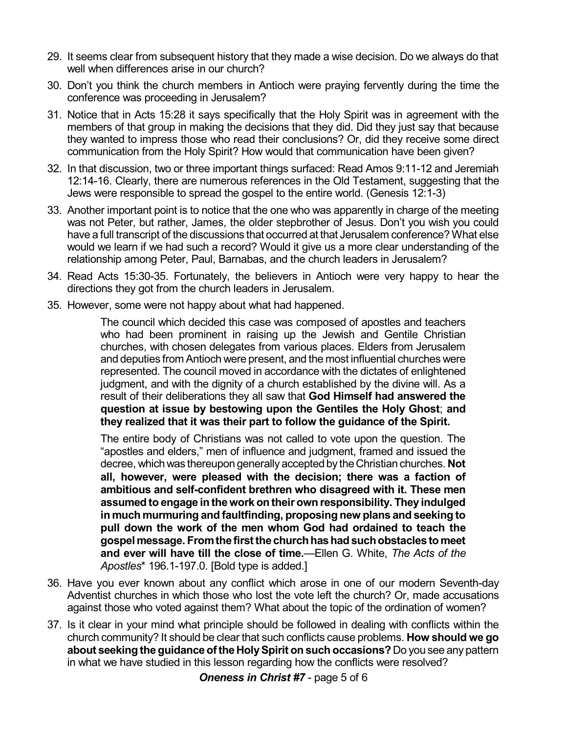- 29. It seems clear from subsequent history that they made a wise decision. Do we always do that well when differences arise in our church?
- 30. Don't you think the church members in Antioch were praying fervently during the time the conference was proceeding in Jerusalem?
- 31. Notice that in Acts 15:28 it says specifically that the Holy Spirit was in agreement with the members of that group in making the decisions that they did. Did they just say that because they wanted to impress those who read their conclusions? Or, did they receive some direct communication from the Holy Spirit? How would that communication have been given?
- 32. In that discussion, two or three important things surfaced: Read Amos 9:11-12 and Jeremiah 12:14-16. Clearly, there are numerous references in the Old Testament, suggesting that the Jews were responsible to spread the gospel to the entire world. (Genesis 12:1-3)
- 33. Another important point is to notice that the one who was apparently in charge of the meeting was not Peter, but rather, James, the older stepbrother of Jesus. Don't you wish you could have a full transcript of the discussions that occurred at that Jerusalem conference? What else would we learn if we had such a record? Would it give us a more clear understanding of the relationship among Peter, Paul, Barnabas, and the church leaders in Jerusalem?
- 34. Read Acts 15:30-35. Fortunately, the believers in Antioch were very happy to hear the directions they got from the church leaders in Jerusalem.
- 35. However, some were not happy about what had happened.

The council which decided this case was composed of apostles and teachers who had been prominent in raising up the Jewish and Gentile Christian churches, with chosen delegates from various places. Elders from Jerusalem and deputies from Antioch were present, and the most influential churches were represented. The council moved in accordance with the dictates of enlightened judgment, and with the dignity of a church established by the divine will. As a result of their deliberations they all saw that **God Himself had answered the question at issue by bestowing upon the Gentiles the Holy Ghost**; **and they realized that it was their part to follow the guidance of the Spirit.**

The entire body of Christians was not called to vote upon the question. The "apostles and elders," men of influence and judgment, framed and issued the decree, whichwas thereupon generally accepted by theChristian churches. **Not all, however, were pleased with the decision; there was a faction of ambitious and self-confident brethren who disagreed with it. These men assumed to engage in thework on theirown responsibility. They indulged in much murmuring and faultfinding, proposing new plans and seeking to pull down the work of the men whom God had ordained to teach the gospel message. Fromthefirstthechurchhashadsuchobstacles to meet and ever will have till the close of time.**—Ellen G. White, *The Acts of the Apostles*\* 196.1-197.0. [Bold type is added.]

- 36. Have you ever known about any conflict which arose in one of our modern Seventh-day Adventist churches in which those who lost the vote left the church? Or, made accusations against those who voted against them? What about the topic of the ordination of women?
- 37. Is it clear in your mind what principle should be followed in dealing with conflicts within the church community? It should be clear that such conflicts cause problems. **How should we go about seeking theguidance oftheHolySpirit on such occasions?** Do you see any pattern in what we have studied in this lesson regarding how the conflicts were resolved?

*Oneness in Christ #7* - page 5 of 6